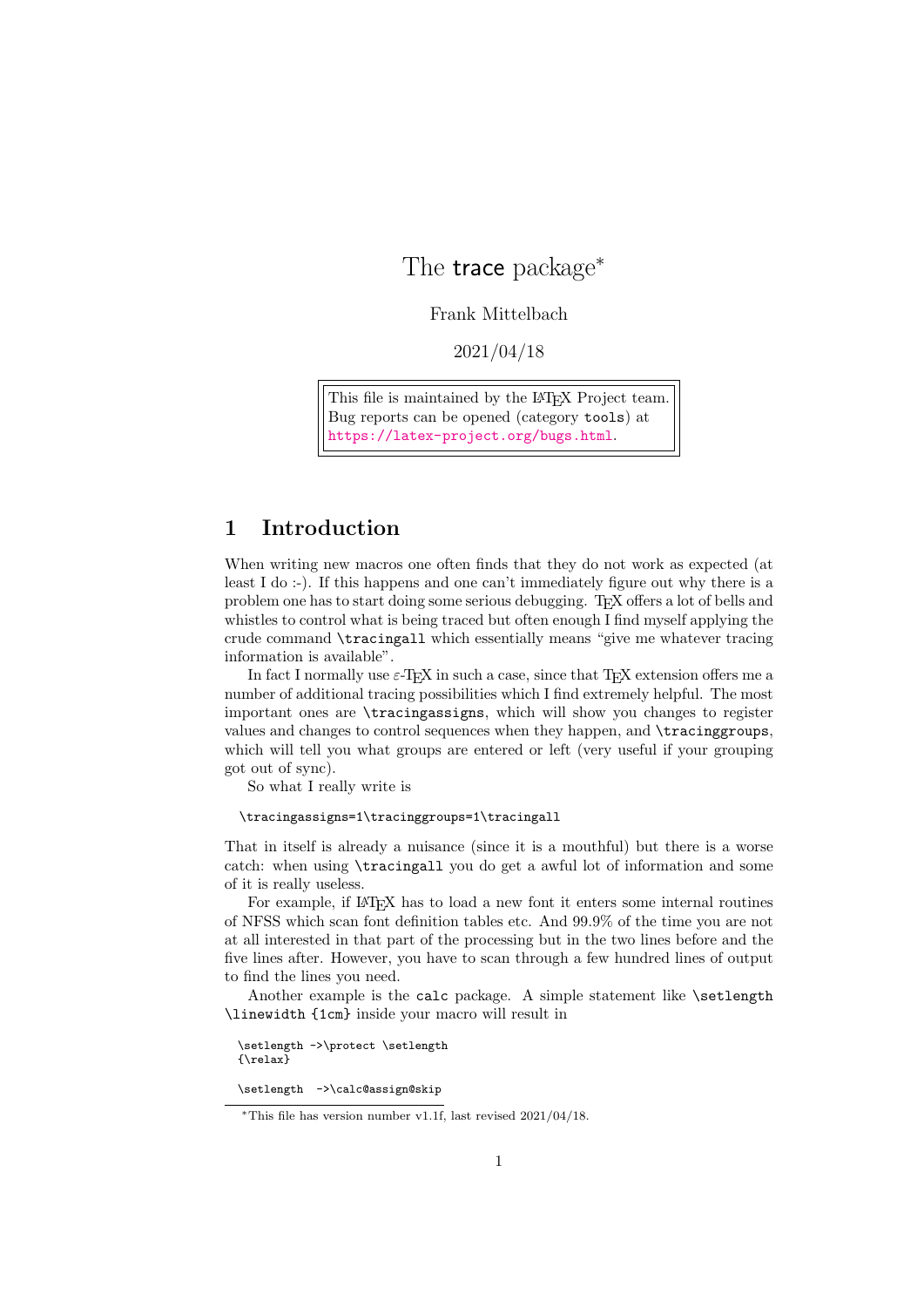# The trace package<sup>∗</sup>

Frank Mittelbach

2021/04/18

This file is maintained by the L<sup>AT</sup>F<sub>X</sub> Project team. Bug reports can be opened (category tools) at <https://latex-project.org/bugs.html>.

# <span id="page-0-0"></span>1 Introduction

When writing new macros one often finds that they do not work as expected (at least I do :-). If this happens and one can't immediately figure out why there is a problem one has to start doing some serious debugging. TEX offers a lot of bells and whistles to control what is being traced but often enough I find myself applying the crude command \tracingall which essentially means "give me whatever tracing information is available".

In fact I normally use  $\varepsilon$ -T<sub>E</sub>X in such a case, since that T<sub>E</sub>X extension offers me a number of additional tracing possibilities which I find extremely helpful. The most important ones are \tracingassigns, which will show you changes to register values and changes to control sequences when they happen, and \tracinggroups, which will tell you what groups are entered or left (very useful if your grouping got out of sync).

So what I really write is

### \tracingassigns=1\tracinggroups=1\tracingall

That in itself is already a nuisance (since it is a mouthful) but there is a worse catch: when using \tracingall you do get a awful lot of information and some of it is really useless.

For example, if LAT<sub>E</sub>X has to load a new font it enters some internal routines of NFSS which scan font definition tables etc. And 99.9% of the time you are not at all interested in that part of the processing but in the two lines before and the five lines after. However, you have to scan through a few hundred lines of output to find the lines you need.

Another example is the calc package. A simple statement like \setlength \linewidth {1cm} inside your macro will result in

\setlength ->\protect \setlength {\relax}

\setlength ->\calc@assign@skip

<sup>∗</sup>This file has version number v1.1f, last revised 2021/04/18.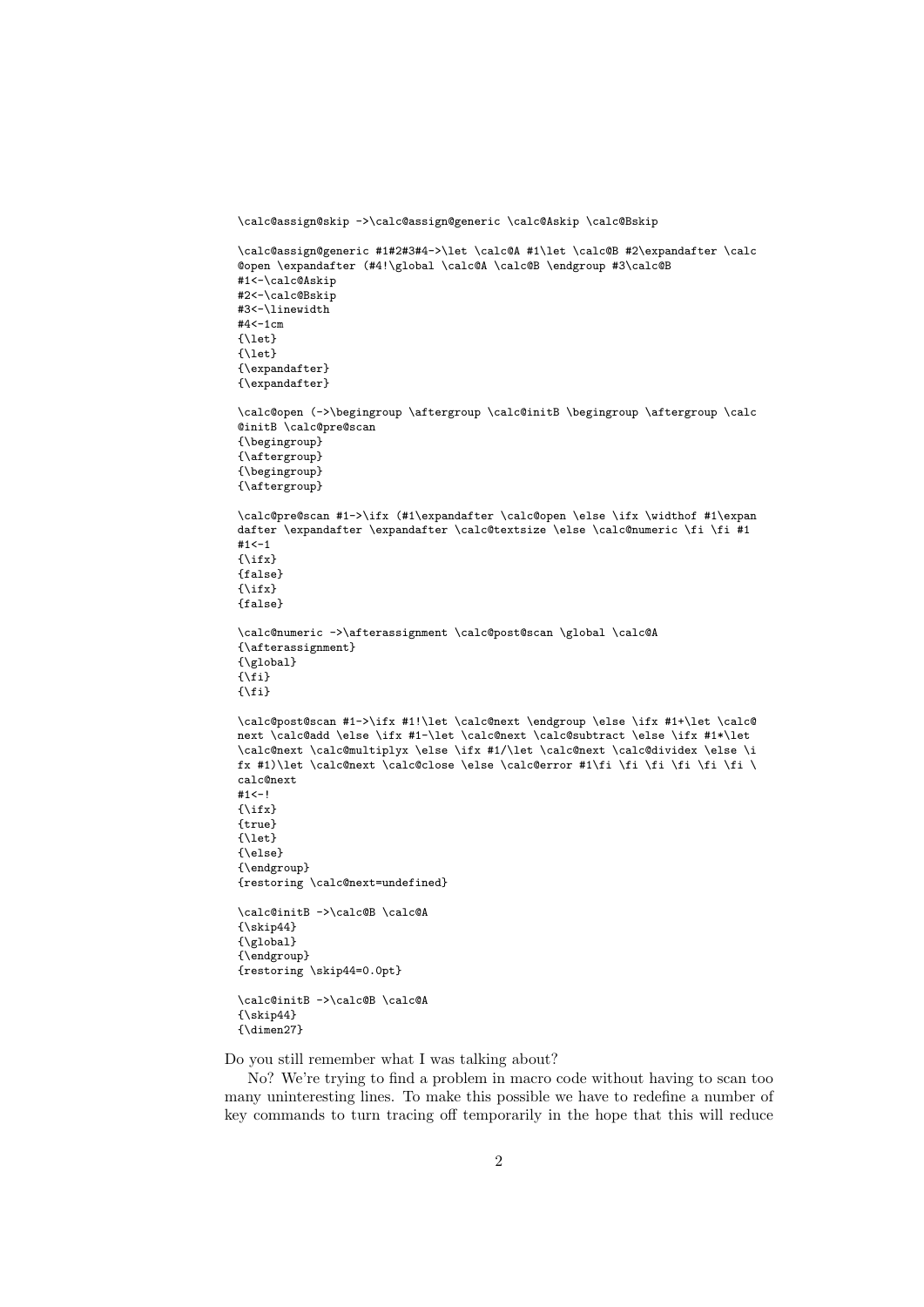\calc@assign@skip ->\calc@assign@generic \calc@Askip \calc@Bskip

```
\calc@assign@generic #1#2#3#4->\let \calc@A #1\let \calc@B #2\expandafter \calc
@open \expandafter (#4!\global \calc@A \calc@B \endgroup #3\calc@B
#1<-\calc@Askip
#2<-\calc@Bskip
#3<-\linewidth
\texttt{#4<-1cm}{\let}
{\let}
{\expandafter}
{\expandafter}
\calc@open (->\begingroup \aftergroup \calc@initB \begingroup \aftergroup \calc
@initB \calc@pre@scan
{\begingroup}
{\aftergroup}
{\begingroup}
{\aftergroup}
\calc@pre@scan #1->\ifx (#1\expandafter \calc@open \else \ifx \widthof #1\expan
dafter \expandafter \expandafter \calc@textsize \else \calc@numeric \fi \fi #1
#1<-1{\text{\}}{false}
{\ifx}
{false}
\calc@numeric ->\afterassignment \calc@post@scan \global \calc@A
{\afterassignment}
{\global}
\overline{\{\}f\}\{\hat{i}\}\calc@post@scan #1->\ifx #1!\let \calc@next \endgroup \else \ifx #1+\let \calc@
next \calc@add \else \ifx #1-\let \calc@next \calc@subtract \else \ifx #1*\let
\calc@next \calc@multiplyx \else \ifx #1/\let \calc@next \calc@dividex \else \i
fx #1)\let \calc@next \calc@close \else \calc@error #1\fi \fi \fi \fi \fi \fi \fi \
calc@next
#1<-!{\text{\}}{true}
{\let}
{\else}
{\endgroup}
{restoring \calc@next=undefined}
\calc@initB ->\calc@B \calc@A
{\skip44}
{\global}
{\endgroup}
{restoring \skip44=0.0pt}
\calc@initB ->\calc@B \calc@A
{\s_kip44}
```

```
{\ddot{\text{1}}}
```
Do you still remember what I was talking about?

No? We're trying to find a problem in macro code without having to scan too many uninteresting lines. To make this possible we have to redefine a number of key commands to turn tracing off temporarily in the hope that this will reduce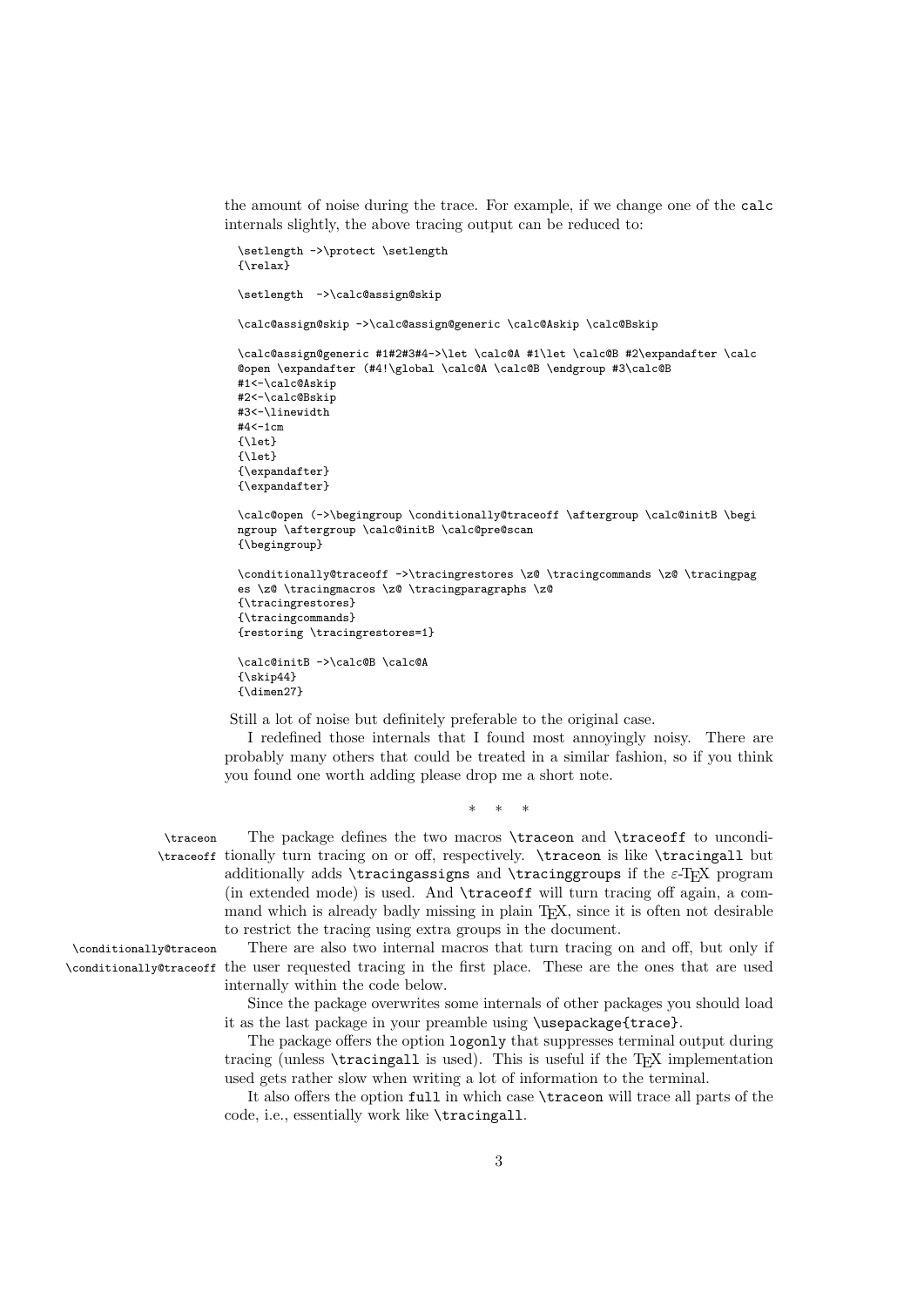the amount of noise during the trace. For example, if we change one of the calc internals slightly, the above tracing output can be reduced to:

```
\setlength ->\protect \setlength
{\relax}
\setlength ->\calc@assign@skip
\calc@assign@skip ->\calc@assign@generic \calc@Askip \calc@Bskip
\calc@assign@generic #1#2#3#4->\let \calc@A #1\let \calc@B #2\expandafter \calc
@open \expandafter (#4!\global \calc@A \calc@B \endgroup #3\calc@B
#1<-\calc@Askip
#2<-\calc@Bskip
#3<-\linewidth
#4<-1cm
\{1at\}{\let}
{\expandafter}
{\expandafter}
\calc@open (->\begingroup \conditionally@traceoff \aftergroup \calc@initB \begi
ngroup \aftergroup \calc@initB \calc@pre@scan
{\begingroup}
\conditionally@traceoff ->\tracingrestores \z@ \tracingcommands \z@ \tracingpag
es \z@ \tracingmacros \z@ \tracingparagraphs \z@
{\tracingrestores}
{\tracingcommands}
{restoring \tracingrestores=1}
\calc@initB ->\calc@B \calc@A
{\s_kip44}{\dimen27}
```
Still a lot of noise but definitely preferable to the original case.

I redefined those internals that I found most annoyingly noisy. There are probably many others that could be treated in a similar fashion, so if you think you found one worth adding please drop me a short note.

∗ ∗ ∗

\traceon The package defines the two macros \traceon and \traceoff to uncondi- \traceoff tionally turn tracing on or off, respectively. \traceon is like \tracingall but additionally adds \tracingassigns and \tracinggroups if the  $\varepsilon$ -TEX program (in extended mode) is used. And \traceoff will turn tracing off again, a command which is already badly missing in plain TEX, since it is often not desirable to restrict the tracing using extra groups in the document.

\conditionally@traceon There are also two internal macros that turn tracing on and off, but only if \conditionally@traceoff the user requested tracing in the first place. These are the ones that are used internally within the code below.

> Since the package overwrites some internals of other packages you should load it as the last package in your preamble using \usepackage{trace}.

> The package offers the option logonly that suppresses terminal output during tracing (unless **\tracingall** is used). This is useful if the TEX implementation used gets rather slow when writing a lot of information to the terminal.

> It also offers the option full in which case \traceon will trace all parts of the code, i.e., essentially work like \tracingall.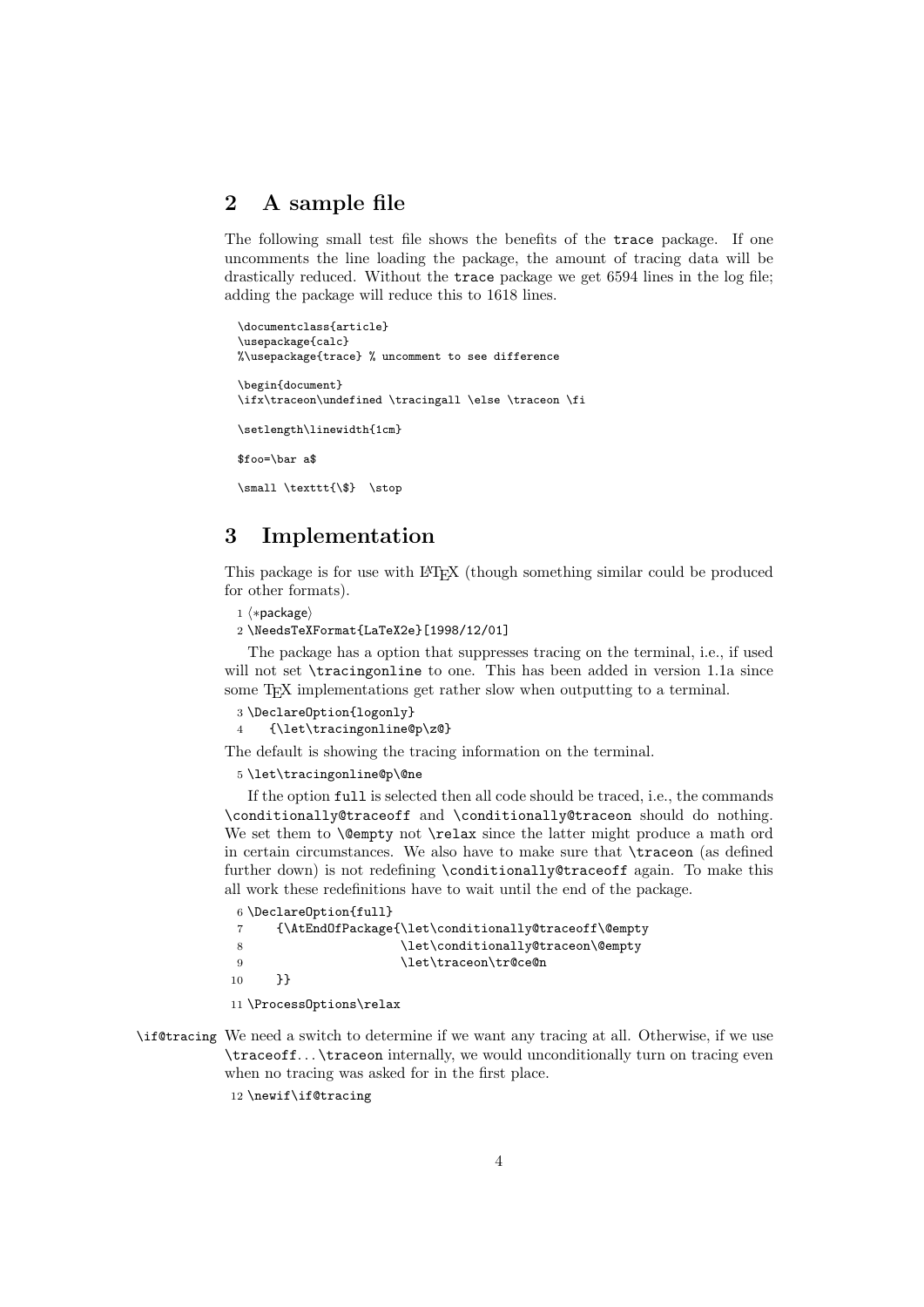# 2 A sample file

The following small test file shows the benefits of the trace package. If one uncomments the line loading the package, the amount of tracing data will be drastically reduced. Without the trace package we get 6594 lines in the log file; adding the package will reduce this to 1618 lines.

```
\documentclass{article}
\usepackage{calc}
%\usepackage{trace} % uncomment to see difference
\begin{document}
\ifx\traceon\undefined \tracingall \else \traceon \fi
\setlength\linewidth{1cm}
$foo=\bar a$
\small \texttt{\$} \stop
```
### 3 Implementation

This package is for use with LATEX (though something similar could be produced for other formats).

```
1 ⟨∗package⟩
```
2 \NeedsTeXFormat{LaTeX2e}[1998/12/01]

The package has a option that suppresses tracing on the terminal, i.e., if used will not set \tracingonline to one. This has been added in version 1.1a since some T<sub>E</sub>X implementations get rather slow when outputting to a terminal.

```
3 \DeclareOption{logonly}
```

```
4 {\let\tracingonline@p\z@}
```
The default is showing the tracing information on the terminal.

5 \let\tracingonline@p\@ne

If the option full is selected then all code should be traced, i.e., the commands \conditionally@traceoff and \conditionally@traceon should do nothing. We set them to **\@empty** not **\relax** since the latter might produce a math ord in certain circumstances. We also have to make sure that \traceon (as defined further down) is not redefining \conditionally@traceoff again. To make this all work these redefinitions have to wait until the end of the package.

| 6 \Declare0ption{full} |                                                     |  |
|------------------------|-----------------------------------------------------|--|
| 7                      | {\AtEndOfPackage{\let\conditionally@traceoff\@empty |  |
| - 8                    | \let\conditionally@traceon\@empty                   |  |
| - 9                    | \let\traceon\tr@ce@n                                |  |
| 10                     | PP.                                                 |  |
|                        |                                                     |  |

11 \ProcessOptions\relax

\if@tracing We need a switch to determine if we want any tracing at all. Otherwise, if we use \traceoff. . . \traceon internally, we would unconditionally turn on tracing even when no tracing was asked for in the first place.

12 \newif\if@tracing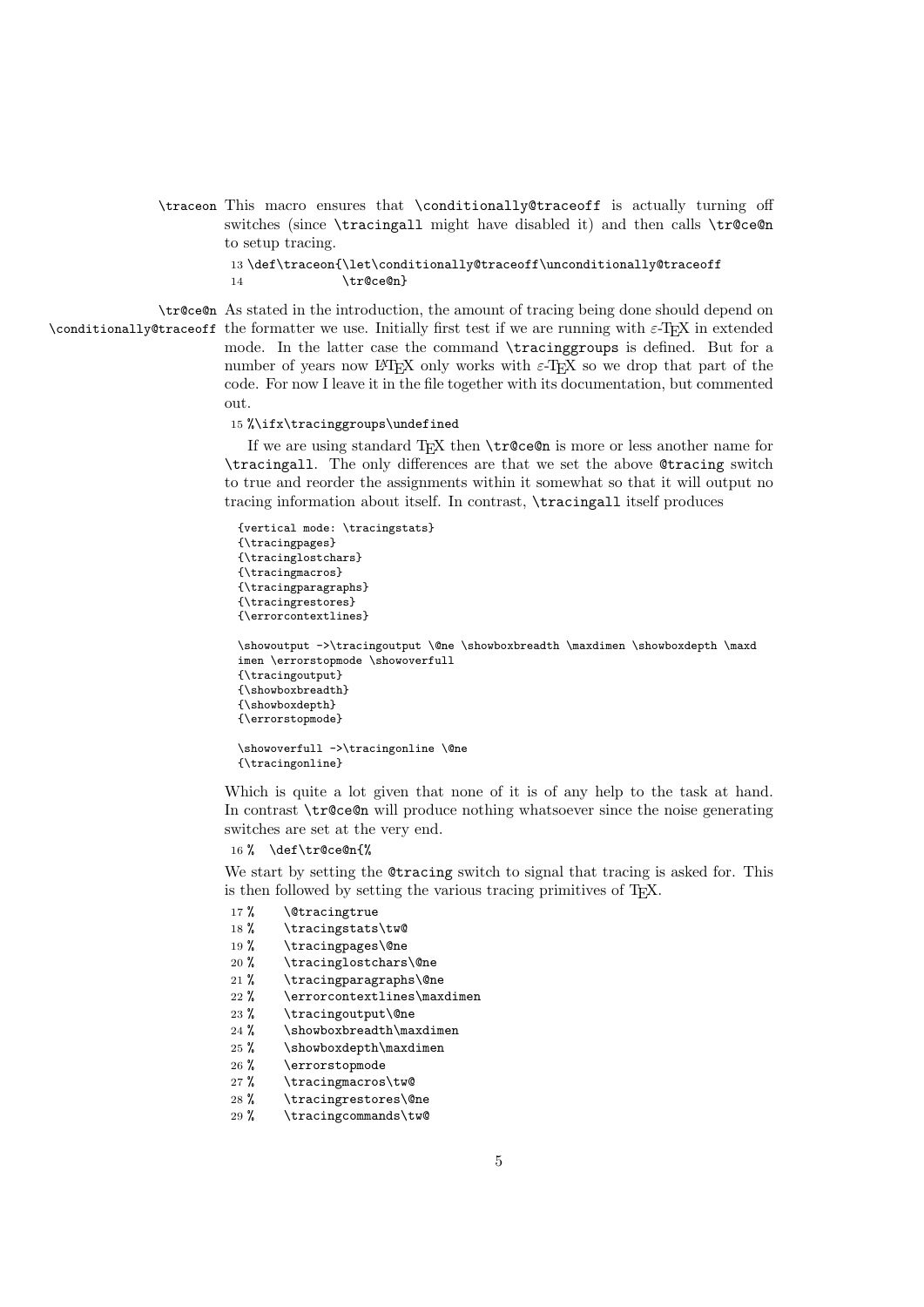\traceon This macro ensures that \conditionally@traceoff is actually turning off switches (since \tracingall might have disabled it) and then calls \tr@ce@n to setup tracing.

```
13 \def\traceon{\let\conditionally@traceoff\unconditionally@traceoff
14 \t\t \text{tr@ce@n}
```
\tr@ce@n As stated in the introduction, the amount of tracing being done should depend on \conditionally@traceoff the formatter we use. Initially first test if we are running with  $\varepsilon$ -T<sub>E</sub>X in extended mode. In the latter case the command \tracinggroups is defined. But for a number of years now LATEX only works with  $\varepsilon$ -TEX so we drop that part of the code. For now I leave it in the file together with its documentation, but commented out.

#### 15 %\ifx\tracinggroups\undefined

If we are using standard TEX then \tr@ce@n is more or less another name for \tracingall. The only differences are that we set the above @tracing switch to true and reorder the assignments within it somewhat so that it will output no tracing information about itself. In contrast, \tracingall itself produces

```
{vertical mode: \tracingstats}
{\tracingpages}
{\tracinglostchars}
{\tracingmacros}
{\tracingparagraphs}
{\tracingrestores}
{\errorcontextlines}
\showoutput ->\tracingoutput \@ne \showboxbreadth \maxdimen \showboxdepth \maxd
imen \errorstopmode \showoverfull
{\tracingoutput}
{\showboxbreadth}
{\showboxdepth}
{\errorstopmode}
\showoverfull ->\tracingonline \@ne
{\tracingonline}
```
Which is quite a lot given that none of it is of any help to the task at hand. In contrast \tr@ce@n will produce nothing whatsoever since the noise generating switches are set at the very end.

```
16 % \def\tr@ce@n{%
```
We start by setting the Ctracing switch to signal that tracing is asked for. This is then followed by setting the various tracing primitives of TEX.

- 17% \@tracingtrue
- 18 % \tracingstats\tw@
- 19 % \tracingpages\@ne
- 20 % \tracinglostchars\@ne
- 21 % \tracingparagraphs\@ne
- 22 % \errorcontextlines\maxdimen
- 23 % \tracingoutput\@ne
- 24 % \showboxbreadth\maxdimen
- 25 % \showboxdepth\maxdimen
- 26 % \errorstopmode
- 27 % \tracingmacros\tw@
- 28 % \tracingrestores\@ne<br>29 % \tracingcommands\tw@
- \tracingcommands\tw@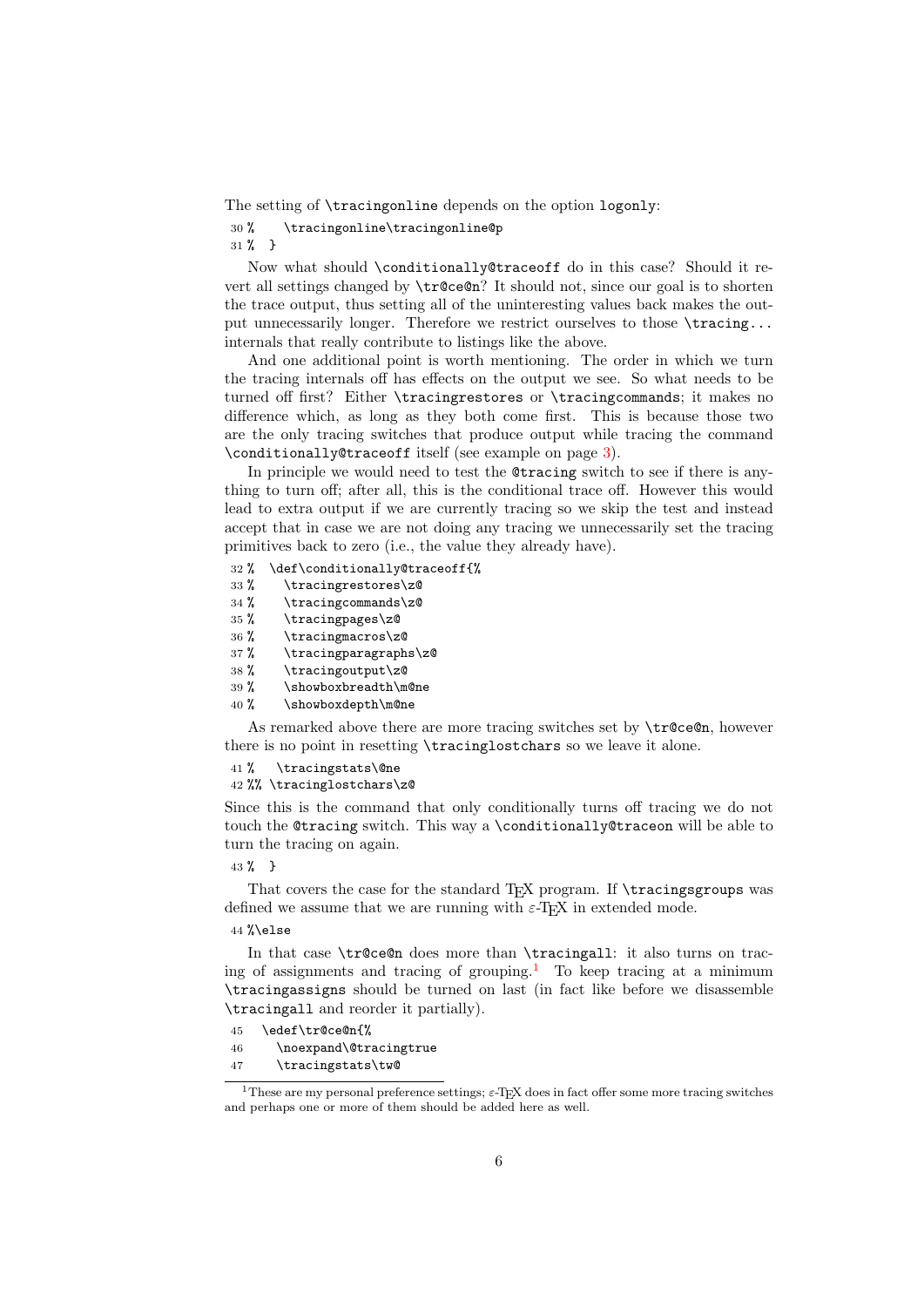The setting of \tracingonline depends on the option logonly:

```
30 % \tracingonline\tracingonline@p
```
31 % }

Now what should \conditionally@traceoff do in this case? Should it revert all settings changed by \tr@ce@n? It should not, since our goal is to shorten the trace output, thus setting all of the uninteresting values back makes the output unnecessarily longer. Therefore we restrict ourselves to those  $\frac{\triangle}{\triangle}$ . internals that really contribute to listings like the above.

And one additional point is worth mentioning. The order in which we turn the tracing internals off has effects on the output we see. So what needs to be turned off first? Either \tracingrestores or \tracingcommands; it makes no difference which, as long as they both come first. This is because those two are the only tracing switches that produce output while tracing the command \conditionally@traceoff itself (see example on page [3\)](#page-0-0).

In principle we would need to test the @tracing switch to see if there is anything to turn off; after all, this is the conditional trace off. However this would lead to extra output if we are currently tracing so we skip the test and instead accept that in case we are not doing any tracing we unnecessarily set the tracing primitives back to zero (i.e., the value they already have).

- 32 % \def\conditionally@traceoff{%
- 33 % \tracingrestores\z@
- 34 % \tracingcommands\z@
- 35 % \tracingpages\z@
- 36 % \tracingmacros\z@
- 37 % \tracingparagraphs\z@
- 38 % \tracingoutput\z@
- 39 % \showboxbreadth\m@ne
- 40 % \showboxdepth\m@ne

As remarked above there are more tracing switches set by  $\tau$  celon, however there is no point in resetting \tracinglostchars so we leave it alone.

```
41 % \tracingstats\@ne
```
42 %% \tracinglostchars\z@

Since this is the command that only conditionally turns off tracing we do not touch the @tracing switch. This way a \conditionally@traceon will be able to turn the tracing on again.

43 % }

That covers the case for the standard T<sub>E</sub>X program. If **\tracingsgroups** was defined we assume that we are running with  $\varepsilon$ -T<sub>F</sub>X in extended mode.

 $44$   $%$  $989$ 

In that case \tr©ce@n does more than \tracingall: it also turns on trac-ing of assignments and tracing of grouping.<sup>[1](#page-5-0)</sup> To keep tracing at a minimum \tracingassigns should be turned on last (in fact like before we disassemble \tracingall and reorder it partially).

```
45 \edef\tr@ce@n{%
46 \noexpand\@tracingtrue
47 \tracingstats\tw@
```
<span id="page-5-0"></span><sup>&</sup>lt;sup>1</sup>These are my personal preference settings;  $\varepsilon$ -T<sub>E</sub>X does in fact offer some more tracing switches and perhaps one or more of them should be added here as well.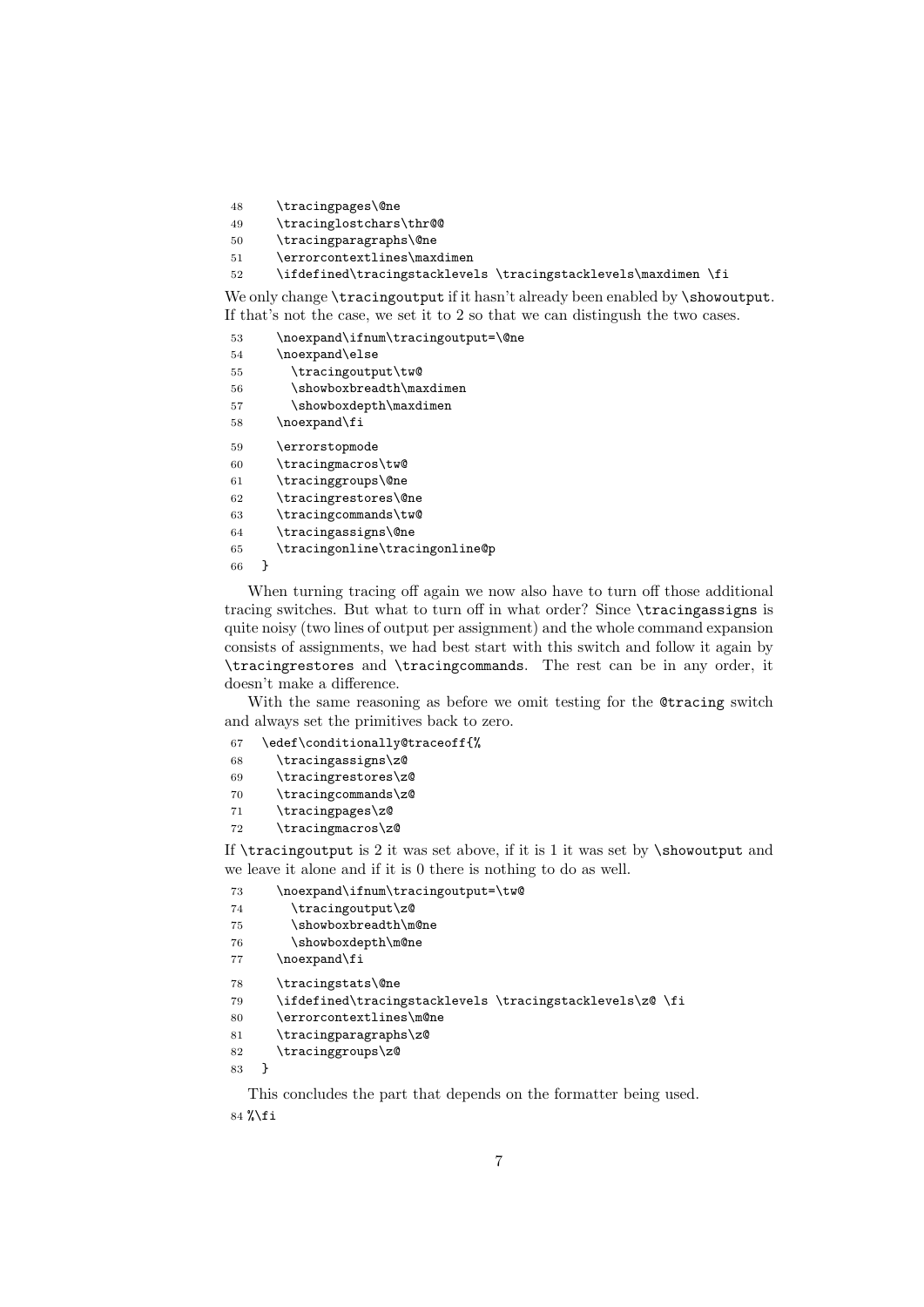- \tracingpages\@ne
- \tracinglostchars\thr@@
- \tracingparagraphs\@ne
- \errorcontextlines\maxdimen
- \ifdefined\tracingstacklevels \tracingstacklevels\maxdimen \fi

We only change \tracingoutput if it hasn't already been enabled by \showoutput. If that's not the case, we set it to 2 so that we can distingush the two cases.

```
53 \noexpand\ifnum\tracingoutput=\@ne
54 \noexpand\else
55 \tracingoutput\tw@
56 \showboxbreadth\maxdimen
57 \showboxdepth\maxdimen
58 \noexpand\fi
59 \errorstopmode
60 \tracingmacros\tw@
61 \tracinggroups\@ne
62 \tracingrestores\@ne
63 \tracingcommands\tw@
64 \tracingassigns\@ne
65 \tracingonline\tracingonline@p
66 }
```
When turning tracing off again we now also have to turn off those additional tracing switches. But what to turn off in what order? Since \tracingassigns is quite noisy (two lines of output per assignment) and the whole command expansion consists of assignments, we had best start with this switch and follow it again by \tracingrestores and \tracingcommands. The rest can be in any order, it doesn't make a difference.

With the same reasoning as before we omit testing for the @tracing switch and always set the primitives back to zero.

| 67 | \edef\conditionally@traceoff{% |
|----|--------------------------------|
|----|--------------------------------|

- \tracingassigns\z@
- \tracingrestores\z@
- \tracingcommands\z@
- \tracingpages\z@
- \tracingmacros\z@

If  $\triangle$  is 2 it was set above, if it is 1 it was set by  $\cong$  and we leave it alone and if it is 0 there is nothing to do as well.

- \noexpand\ifnum\tracingoutput=\tw@
- \tracingoutput\z@
- \showboxbreadth\m@ne
- 76 \showboxdepth\m@ne

```
77 \noexpand\fi
```

```
78 \tracingstats\@ne
```

```
79 \ifdefined\tracingstacklevels \tracingstacklevels\z@ \fi
```

```
80 \errorcontextlines\m@ne
```

```
81 \tracingparagraphs\z@
```

```
82 \tracinggroups\z@
```

```
83 }
```
This concludes the part that depends on the formatter being used. %\fi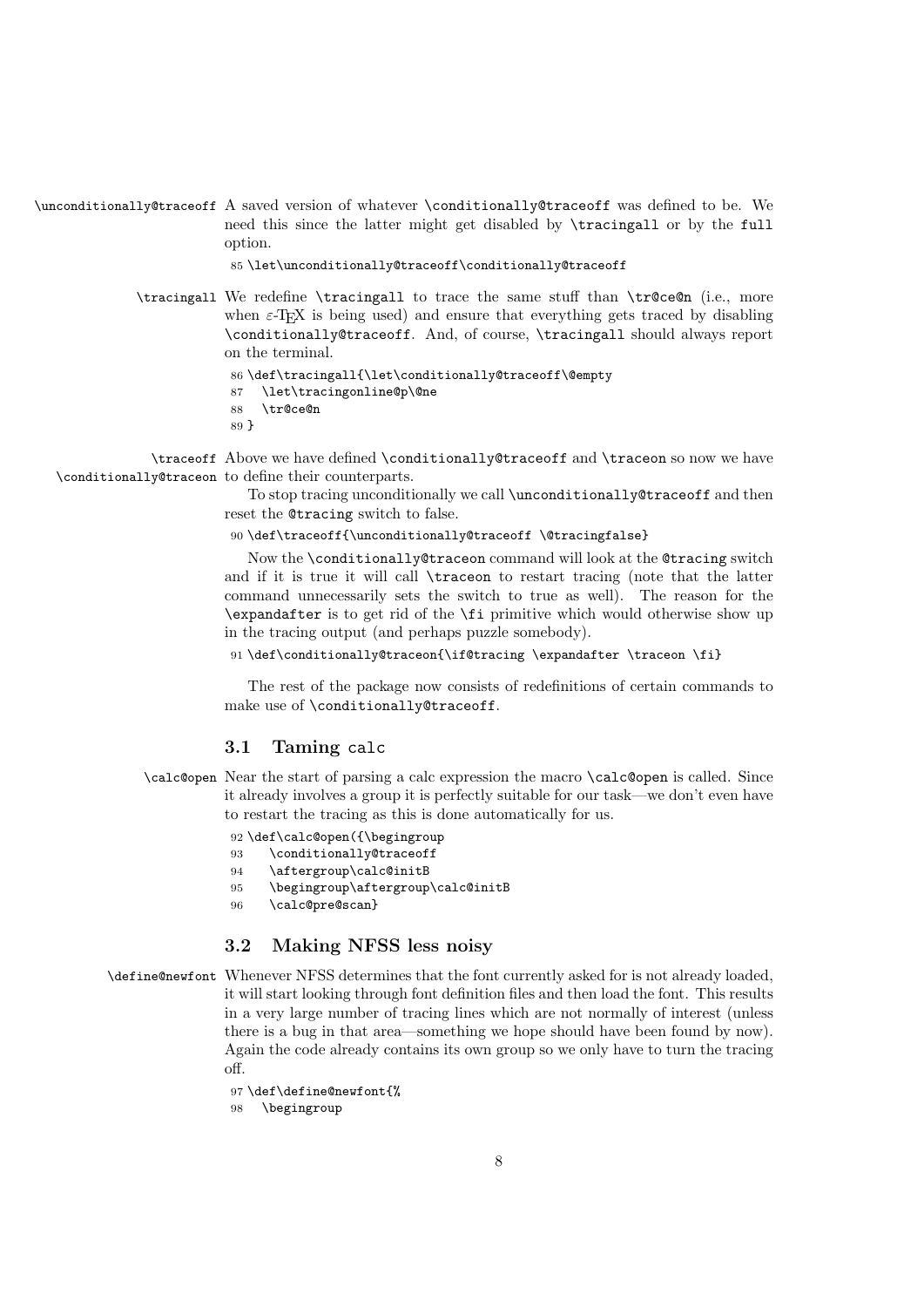```
\unconditionally@traceoff A saved version of whatever \conditionally@traceoff was defined to be. We
                          need this since the latter might get disabled by \tracingall or by the full
                          option.
```
85 \let\unconditionally@traceoff\conditionally@traceoff

\tracingall We redefine \tracingall to trace the same stuff than \tr@ce@n (i.e., more when  $\epsilon$ -T<sub>E</sub>X is being used) and ensure that everything gets traced by disabling \conditionally@traceoff. And, of course, \tracingall should always report on the terminal.

```
86 \def\tracingall{\let\conditionally@traceoff\@empty
87 \let\tracingonline@p\@ne
88 \tr@ce@n
89 }
```
\traceoff Above we have defined \conditionally@traceoff and \traceon so now we have \conditionally@traceon to define their counterparts.

> To stop tracing unconditionally we call \unconditionally@traceoff and then reset the @tracing switch to false.

90 \def\traceoff{\unconditionally@traceoff \@tracingfalse}

Now the \conditionally@traceon command will look at the @tracing switch and if it is true it will call \traceon to restart tracing (note that the latter command unnecessarily sets the switch to true as well). The reason for the \expandafter is to get rid of the \fi primitive which would otherwise show up in the tracing output (and perhaps puzzle somebody).

91\def\conditionally@traceon{\if@tracing \expandafter \traceon \fi}

The rest of the package now consists of redefinitions of certain commands to make use of \conditionally@traceoff.

### 3.1 Taming calc

\calc@open Near the start of parsing a calc expression the macro \calc@open is called. Since it already involves a group it is perfectly suitable for our task—we don't even have to restart the tracing as this is done automatically for us.

92 \def\calc@open({\begingroup

- 93 \conditionally@traceoff
- 94 \aftergroup\calc@initB
- 95 \begingroup\aftergroup\calc@initB
- 96 \calc@pre@scan}

### 3.2 Making NFSS less noisy

\define@newfont Whenever NFSS determines that the font currently asked for is not already loaded, it will start looking through font definition files and then load the font. This results in a very large number of tracing lines which are not normally of interest (unless there is a bug in that area—something we hope should have been found by now). Again the code already contains its own group so we only have to turn the tracing  $\alpha$ ff

```
97 \def\define@newfont{%
```
98 \begingroup